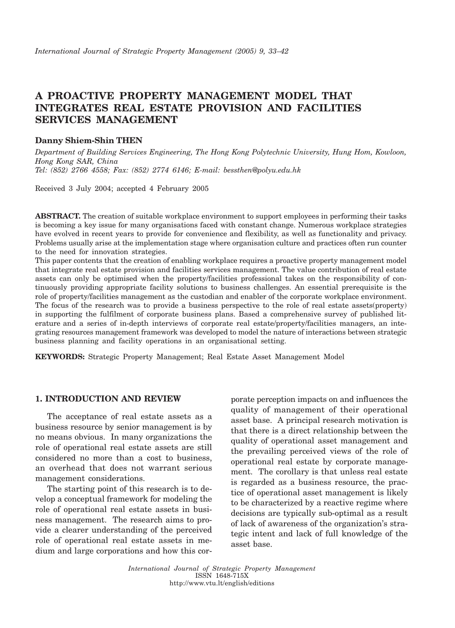# A PROACTIVE PROPERTY MANAGEMENT MODEL THAT **INTEGRATES REAL ESTATE PROVISION AND FACILITIES SERVICES MANAGEMENT**

### **Danny Shiem-Shin THEN**

Department of Building Services Engineering, The Hong Kong Polytechnic University, Hung Hom, Kowloon, Hong Kong SAR, China Tel: (852) 2766 4558; Fax: (852) 2774 6146; E-mail: bessthen@polyu.edu.hk

Received 3 July 2004; accepted 4 February 2005

**ABSTRACT.** The creation of suitable workplace environment to support employees in performing their tasks is becoming a key issue for many organisations faced with constant change. Numerous workplace strategies have evolved in recent years to provide for convenience and flexibility, as well as functionality and privacy. Problems usually arise at the implementation stage where organisation culture and practices often run counter to the need for innovation strategies.

This paper contents that the creation of enabling workplace requires a proactive property management model that integrate real estate provision and facilities services management. The value contribution of real estate assets can only be optimised when the property/facilities professional takes on the responsibility of continuously providing appropriate facility solutions to business challenges. An essential prerequisite is the role of property/facilities management as the custodian and enabler of the corporate workplace environment. The focus of the research was to provide a business perspective to the role of real estate assets (property) in supporting the fulfilment of corporate business plans. Based a comprehensive survey of published literature and a series of in-depth interviews of corporate real estate/property/facilities managers, an integrating resources management framework was developed to model the nature of interactions between strategic business planning and facility operations in an organisational setting.

**KEYWORDS:** Strategic Property Management; Real Estate Asset Management Model

# **1. INTRODUCTION AND REVIEW**

The acceptance of real estate assets as a business resource by senior management is by no means obvious. In many organizations the role of operational real estate assets are still considered no more than a cost to business, an overhead that does not warrant serious management considerations.

The starting point of this research is to develop a conceptual framework for modeling the role of operational real estate assets in business management. The research aims to provide a clearer understanding of the perceived role of operational real estate assets in medium and large corporations and how this corporate perception impacts on and influences the quality of management of their operational asset base. A principal research motivation is that there is a direct relationship between the quality of operational asset management and the prevailing perceived views of the role of operational real estate by corporate management. The corollary is that unless real estate is regarded as a business resource, the practice of operational asset management is likely to be characterized by a reactive regime where decisions are typically sub-optimal as a result of lack of awareness of the organization's strategic intent and lack of full knowledge of the asset base.

International Journal of Strategic Property Management ISSN 1648-715X http://www.vtu.lt/english/editions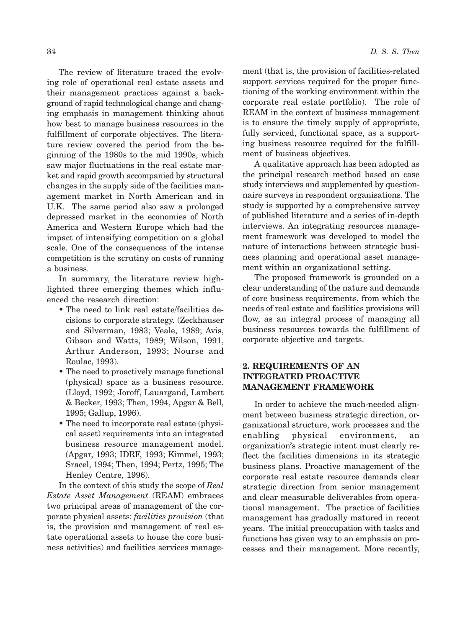The review of literature traced the evolving role of operational real estate assets and their management practices against a background of rapid technological change and changing emphasis in management thinking about how best to manage business resources in the fulfillment of corporate objectives. The literature review covered the period from the beginning of the 1980s to the mid 1990s, which saw major fluctuations in the real estate market and rapid growth accompanied by structural changes in the supply side of the facilities management market in North American and in U.K. The same period also saw a prolonged depressed market in the economies of North America and Western Europe which had the impact of intensifying competition on a global scale. One of the consequences of the intense competition is the scrutiny on costs of running a business.

In summary, the literature review highlighted three emerging themes which influenced the research direction:

- The need to link real estate/facilities decisions to corporate strategy. (Zeckhauser and Silverman, 1983; Veale, 1989; Avis, Gibson and Watts, 1989; Wilson, 1991, Arthur Anderson, 1993; Nourse and Roulac, 1993).
- The need to proactively manage functional (physical) space as a business resource. (Lloyd, 1992; Joroff, Lauargand, Lambert & Becker, 1993; Then, 1994, Apgar & Bell, 1995; Gallup, 1996).
- The need to incorporate real estate (physical asset) requirements into an integrated business resource management model. (Apgar, 1993; IDRF, 1993; Kimmel, 1993; Sracel, 1994; Then, 1994; Pertz, 1995; The Henley Centre, 1996).

In the context of this study the scope of Real Estate Asset Management (REAM) embraces two principal areas of management of the corporate physical assets: *facilities provision* (that is, the provision and management of real estate operational assets to house the core business activities) and facilities services management (that is, the provision of facilities-related support services required for the proper functioning of the working environment within the corporate real estate portfolio). The role of REAM in the context of business management is to ensure the timely supply of appropriate, fully serviced, functional space, as a supporting business resource required for the fulfillment of business objectives.

A qualitative approach has been adopted as the principal research method based on case study interviews and supplemented by questionnaire surveys in respondent organisations. The study is supported by a comprehensive survey of published literature and a series of in-depth interviews. An integrating resources management framework was developed to model the nature of interactions between strategic business planning and operational asset management within an organizational setting.

The proposed framework is grounded on a clear understanding of the nature and demands of core business requirements, from which the needs of real estate and facilities provisions will flow, as an integral process of managing all business resources towards the fulfillment of corporate objective and targets.

# 2. REQUIREMENTS OF AN **INTEGRATED PROACTIVE MANAGEMENT FRAMEWORK**

In order to achieve the much-needed alignment between business strategic direction, organizational structure, work processes and the enabling physical environment. an organization's strategic intent must clearly reflect the facilities dimensions in its strategic business plans. Proactive management of the corporate real estate resource demands clear strategic direction from senior management and clear measurable deliverables from operational management. The practice of facilities management has gradually matured in recent years. The initial preoccupation with tasks and functions has given way to an emphasis on processes and their management. More recently,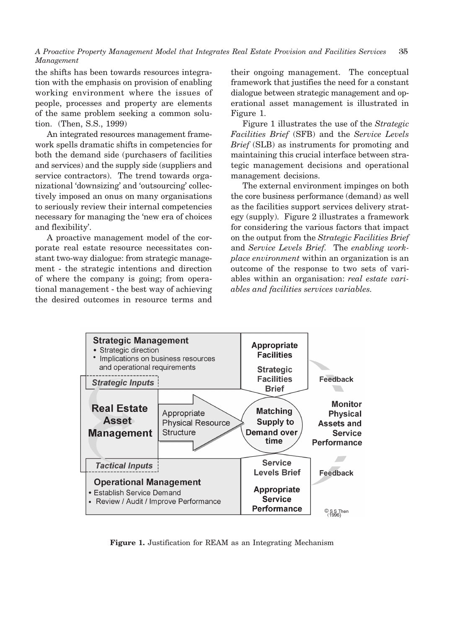A Proactive Property Management Model that Integrates Real Estate Provision and Facilities Services 35 Management

the shifts has been towards resources integration with the emphasis on provision of enabling working environment where the issues of people, processes and property are elements of the same problem seeking a common solution. (Then, S.S., 1999)

An integrated resources management framework spells dramatic shifts in competencies for both the demand side (purchasers of facilities) and services) and the supply side (suppliers and service contractors). The trend towards organizational 'downsizing' and 'outsourcing' collectively imposed an onus on many organisations to seriously review their internal competencies necessary for managing the 'new era of choices and flexibility'.

A proactive management model of the corporate real estate resource necessitates constant two-way dialogue: from strategic management - the strategic intentions and direction of where the company is going; from operational management - the best way of achieving the desired outcomes in resource terms and their ongoing management. The conceptual framework that justifies the need for a constant dialogue between strategic management and operational asset management is illustrated in Figure 1.

Figure 1 illustrates the use of the Strategic Facilities Brief (SFB) and the Service Levels *Brief* (SLB) as instruments for promoting and maintaining this crucial interface between strategic management decisions and operational management decisions.

The external environment impinges on both the core business performance (demand) as well as the facilities support services delivery strategy (supply). Figure 2 illustrates a framework for considering the various factors that impact on the output from the Strategic Facilities Brief and Service Levels Brief. The enabling work*place environment* within an organization is an outcome of the response to two sets of variables within an organisation: real estate variables and facilities services variables.



Figure 1. Justification for REAM as an Integrating Mechanism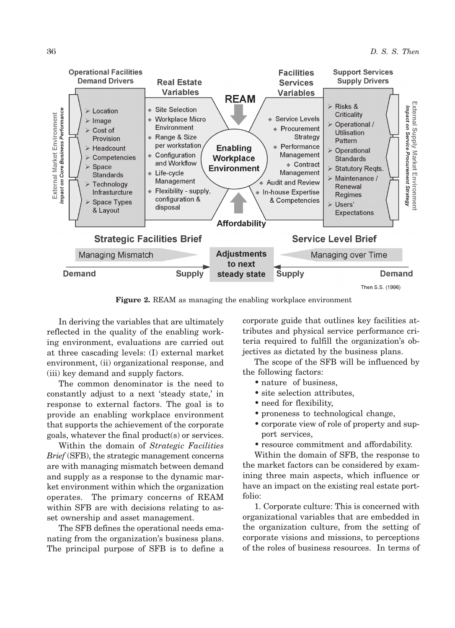

Figure 2. REAM as managing the enabling workplace environment

In deriving the variables that are ultimately reflected in the quality of the enabling working environment, evaluations are carried out at three cascading levels: (I) external market environment, (ii) organizational response, and (iii) key demand and supply factors.

The common denominator is the need to constantly adjust to a next 'steady state,' in response to external factors. The goal is to provide an enabling workplace environment that supports the achievement of the corporate goals, whatever the final product(s) or services.

Within the domain of Strategic Facilities Brief (SFB), the strategic management concerns are with managing mismatch between demand and supply as a response to the dynamic market environment within which the organization operates. The primary concerns of REAM within SFB are with decisions relating to asset ownership and asset management.

The SFB defines the operational needs emanating from the organization's business plans. The principal purpose of SFB is to define a

corporate guide that outlines key facilities attributes and physical service performance criteria required to fulfill the organization's objectives as dictated by the business plans.

The scope of the SFB will be influenced by the following factors:

- nature of business.
- site selection attributes,
- need for flexibility,
- proneness to technological change,
- corporate view of role of property and support services,
- resource commitment and affordability.

Within the domain of SFB, the response to the market factors can be considered by examining three main aspects, which influence or have an impact on the existing real estate portfolio:

1. Corporate culture: This is concerned with organizational variables that are embedded in the organization culture, from the setting of corporate visions and missions, to perceptions of the roles of business resources. In terms of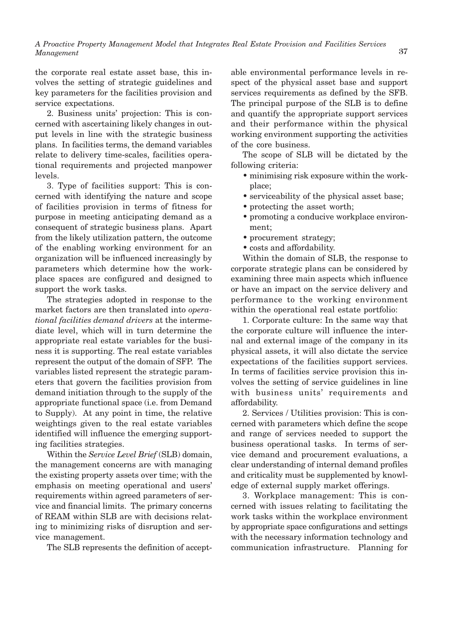the corporate real estate asset base, this involves the setting of strategic guidelines and key parameters for the facilities provision and service expectations.

2. Business units' projection: This is concerned with ascertaining likely changes in output levels in line with the strategic business plans. In facilities terms, the demand variables relate to delivery time-scales, facilities operational requirements and projected manpower levels.

3. Type of facilities support: This is concerned with identifying the nature and scope of facilities provision in terms of fitness for purpose in meeting anticipating demand as a consequent of strategic business plans. Apart from the likely utilization pattern, the outcome of the enabling working environment for an organization will be influenced increasingly by parameters which determine how the workplace spaces are configured and designed to support the work tasks.

The strategies adopted in response to the market factors are then translated into opera*tional facilities demand drivers* at the intermediate level, which will in turn determine the appropriate real estate variables for the business it is supporting. The real estate variables represent the output of the domain of SFP. The variables listed represent the strategic parameters that govern the facilities provision from demand initiation through to the supply of the appropriate functional space (i.e. from Demand to Supply). At any point in time, the relative weightings given to the real estate variables identified will influence the emerging supporting facilities strategies.

Within the Service Level Brief (SLB) domain, the management concerns are with managing the existing property assets over time; with the emphasis on meeting operational and users' requirements within agreed parameters of service and financial limits. The primary concerns of REAM within SLB are with decisions relating to minimizing risks of disruption and service management.

The SLB represents the definition of accept-

able environmental performance levels in respect of the physical asset base and support services requirements as defined by the SFB. The principal purpose of the SLB is to define and quantify the appropriate support services and their performance within the physical working environment supporting the activities of the core business.

The scope of SLB will be dictated by the following criteria:

- minimising risk exposure within the workplace:
- serviceability of the physical asset base;
- protecting the asset worth;
- promoting a conducive workplace environment:
- procurement strategy;
- costs and affordability.

Within the domain of SLB, the response to corporate strategic plans can be considered by examining three main aspects which influence or have an impact on the service delivery and performance to the working environment within the operational real estate portfolio:

1. Corporate culture: In the same way that the corporate culture will influence the internal and external image of the company in its physical assets, it will also dictate the service expectations of the facilities support services. In terms of facilities service provision this involves the setting of service guidelines in line with business units' requirements and affordability.

2. Services / Utilities provision: This is concerned with parameters which define the scope and range of services needed to support the business operational tasks. In terms of service demand and procurement evaluations, a clear understanding of internal demand profiles and criticality must be supplemented by knowledge of external supply market offerings.

3. Workplace management: This is concerned with issues relating to facilitating the work tasks within the workplace environment by appropriate space configurations and settings with the necessary information technology and communication infrastructure. Planning for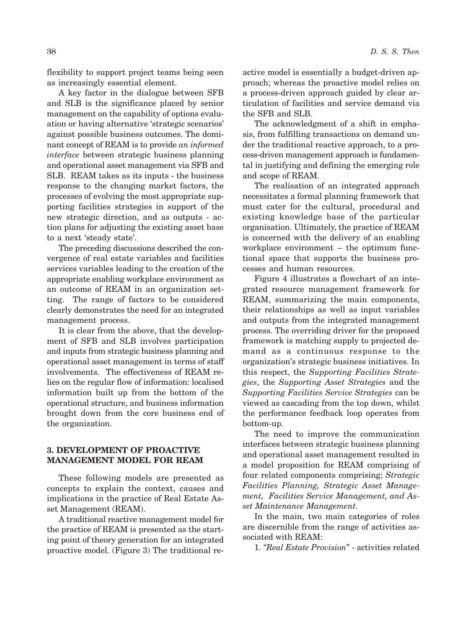flexibility to support project teams being seen as increasingly essential element.

A key factor in the dialogue between SFB and SLB is the significance placed by senior management on the capability of options evaluation or having alternative 'strategic scenarios' against possible business outcomes. The dominant concept of REAM is to provide an informed *interface* between strategic business planning and operational asset management via SFB and SLB. REAM takes as its inputs - the business response to the changing market factors, the processes of evolving the most appropriate supporting facilities strategies in support of the new strategic direction, and as outputs - action plans for adjusting the existing asset base to a next 'steady state'.

The preceding discussions described the convergence of real estate variables and facilities services variables leading to the creation of the appropriate enabling workplace environment as an outcome of REAM in an organization setting. The range of factors to be considered clearly demonstrates the need for an integrated management process.

It is clear from the above, that the development of SFB and SLB involves participation and inputs from strategic business planning and operational asset management in terms of staff involvements. The effectiveness of REAM relies on the regular flow of information: localised information built up from the bottom of the operational structure, and business information brought down from the core business end of the organization.

# **3. DEVELOPMENT OF PROACTIVE MANAGEMENT MODEL FOR REAM**

These following models are presented as concepts to explain the context, causes and implications in the practice of Real Estate Asset Management (REAM).

A traditional reactive management model for the practice of REAM is presented as the starting point of theory generation for an integrated proactive model. (Figure 3) The traditional reactive model is essentially a budget-driven approach; whereas the proactive model relies on a process-driven approach guided by clear articulation of facilities and service demand via the SFB and SLB.

The acknowledgment of a shift in emphasis, from fulfilling transactions on demand under the traditional reactive approach, to a process-driven management approach is fundamental in justifying and defining the emerging role and scope of REAM.

The realisation of an integrated approach necessitates a formal planning framework that must cater for the cultural, procedural and existing knowledge base of the particular organisation. Ultimately, the practice of REAM is concerned with the delivery of an enabling workplace environment - the optimum functional space that supports the business processes and human resources.

Figure 4 illustrates a flowchart of an integrated resource management framework for REAM, summarizing the main components, their relationships as well as input variables and outputs from the integrated management process. The overriding driver for the proposed framework is matching supply to projected demand as a continuous response to the organization's strategic business initiatives. In this respect, the Supporting Facilities Strategies, the Supporting Asset Strategies and the Supporting Facilities Service Strategies can be viewed as cascading from the top down, whilst the performance feedback loop operates from bottom-up.

The need to improve the communication interfaces between strategic business planning and operational asset management resulted in a model proposition for REAM comprising of four related components comprising; Strategic Facilities Planning, Strategic Asset Management, Facilities Service Management, and Asset Maintenance Management.

In the main, two main categories of roles are discernible from the range of activities associated with REAM:

1. "Real Estate Provision" - activities related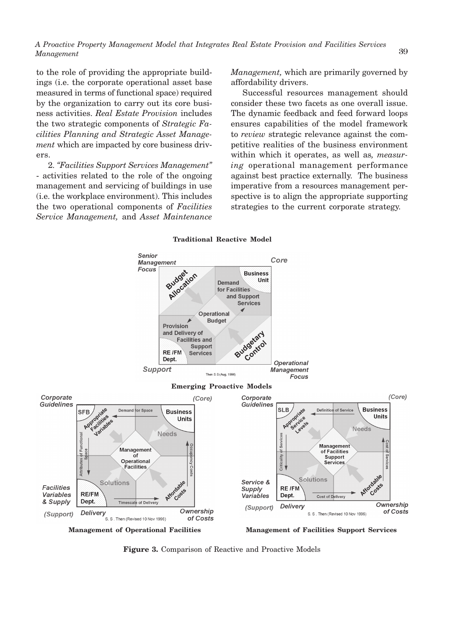to the role of providing the appropriate buildings (i.e. the corporate operational asset base measured in terms of functional space) required by the organization to carry out its core business activities. Real Estate Provision includes the two strategic components of Strategic Facilities Planning and Strategic Asset Manage*ment* which are impacted by core business drivers.

2. "Facilities Support Services Management" - activities related to the role of the ongoing management and servicing of buildings in use (i.e. the workplace environment). This includes the two operational components of Facilities Service Management, and Asset Maintenance Management, which are primarily governed by affordability drivers.

Successful resources management should consider these two facets as one overall issue. The dynamic feedback and feed forward loops ensures capabilities of the model framework to review strategic relevance against the competitive realities of the business environment within which it operates, as well as, *measuring* operational management performance against best practice externally. The business imperative from a resources management perspective is to align the appropriate supporting strategies to the current corporate strategy.





Figure 3. Comparison of Reactive and Proactive Models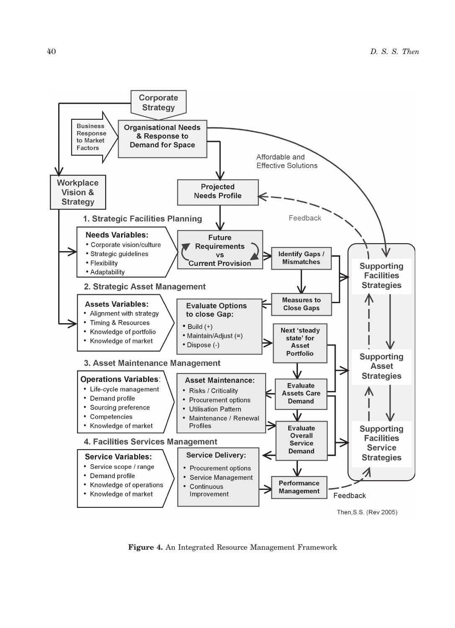

Figure 4. An Integrated Resource Management Framework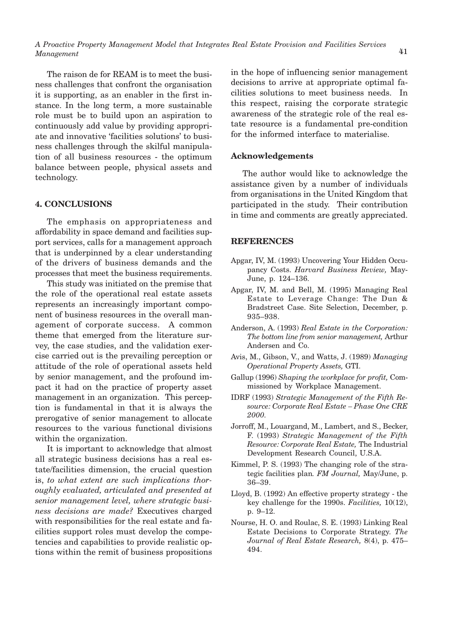The raison de for REAM is to meet the business challenges that confront the organisation it is supporting, as an enabler in the first instance. In the long term, a more sustainable role must be to build upon an aspiration to continuously add value by providing appropriate and innovative 'facilities solutions' to business challenges through the skilful manipulation of all business resources - the optimum balance between people, physical assets and technology.

# **4. CONCLUSIONS**

The emphasis on appropriateness and affordability in space demand and facilities support services, calls for a management approach that is underpinned by a clear understanding of the drivers of business demands and the processes that meet the business requirements.

This study was initiated on the premise that the role of the operational real estate assets represents an increasingly important component of business resources in the overall management of corporate success. A common theme that emerged from the literature survey, the case studies, and the validation exercise carried out is the prevailing perception or attitude of the role of operational assets held by senior management, and the profound impact it had on the practice of property asset management in an organization. This perception is fundamental in that it is always the prerogative of senior management to allocate resources to the various functional divisions within the organization.

It is important to acknowledge that almost all strategic business decisions has a real estate/facilities dimension, the crucial question is, to what extent are such implications thoroughly evaluated, articulated and presented at senior management level, where strategic business decisions are made? Executives charged with responsibilities for the real estate and facilities support roles must develop the competencies and capabilities to provide realistic options within the remit of business propositions in the hope of influencing senior management decisions to arrive at appropriate optimal facilities solutions to meet business needs. In this respect, raising the corporate strategic awareness of the strategic role of the real estate resource is a fundamental pre-condition for the informed interface to materialise.

## **Acknowledgements**

The author would like to acknowledge the assistance given by a number of individuals from organisations in the United Kingdom that participated in the study. Their contribution in time and comments are greatly appreciated.

### **REFERENCES**

- Apgar, IV, M. (1993) Uncovering Your Hidden Occupancy Costs. Harvard Business Review, May-June, p. 124-136.
- Apgar, IV, M. and Bell, M. (1995) Managing Real Estate to Leverage Change: The Dun & Bradstreet Case. Site Selection, December, p. 935-938.
- Anderson, A. (1993) Real Estate in the Corporation: The bottom line from senior management, Arthur Andersen and Co.
- Avis, M., Gibson, V., and Watts, J. (1989) Managing Operational Property Assets, GTI.
- Gallup (1996) Shaping the workplace for profit, Commissioned by Workplace Management.
- IDRF (1993) Strategic Management of the Fifth Resource: Corporate Real Estate - Phase One CRE 2000.
- Jorroff, M., Louargand, M., Lambert, and S., Becker, F. (1993) Strategic Management of the Fifth Resource: Corporate Real Estate, The Industrial Development Research Council, U.S.A.
- Kimmel, P. S. (1993) The changing role of the strategic facilities plan. FM Journal, May/June, p.  $36 - 39.$
- Lloyd, B. (1992) An effective property strategy the key challenge for the 1990s. Facilities,  $10(12)$ , p.  $9-12$ .
- Nourse, H. O. and Roulac, S. E. (1993) Linking Real Estate Decisions to Corporate Strategy. The Journal of Real Estate Research, 8(4), p. 475-494.